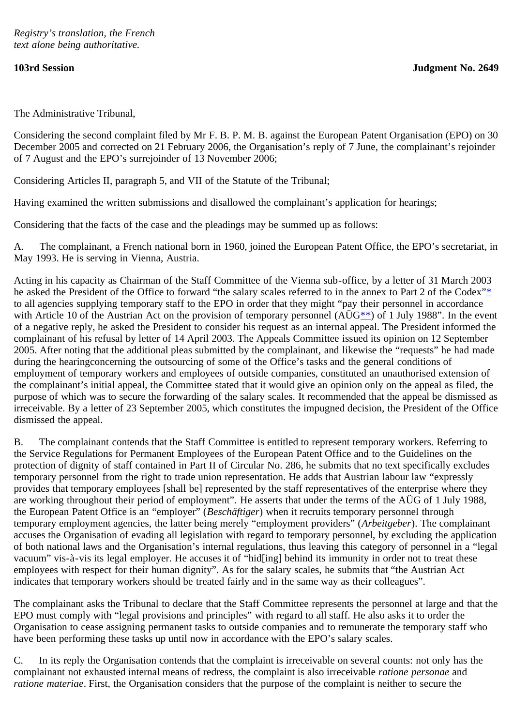The Administrative Tribunal,

Considering the second complaint filed by Mr F. B. P. M. B. against the European Patent Organisation (EPO) on 30 December 2005 and corrected on 21 February 2006, the Organisation's reply of 7 June, the complainant's rejoinder of 7 August and the EPO's surrejoinder of 13 November 2006;

Considering Articles II, paragraph 5, and VII of the Statute of the Tribunal;

Having examined the written submissions and disallowed the complainant's application for hearings;

Considering that the facts of the case and the pleadings may be summed up as follows:

A. The complainant, a French national born in 1960, joined the European Patent Office, the EPO's secretariat, in May 1993. He is serving in Vienna, Austria.

<span id="page-0-1"></span><span id="page-0-0"></span>Acting in his capacity as Chairman of the Staff Committee of the Vienna sub-office, by a letter of 31 March 2003 he asked the President of the Office to forward "the salary scales referred to in the annex to Part 2 of the Codex["\\*](#page-3-0) to all agencies supplying temporary staff to the EPO in order that they might "pay their personnel in accordance with Article 10 of the Austrian Act on the provision of temporary personnel ( $\overrightarrow{AUG^{**}}$  $\overrightarrow{AUG^{**}}$  $\overrightarrow{AUG^{**}}$ ) of 1 July 1988". In the event of a negative reply, he asked the President to consider his request as an internal appeal. The President informed the complainant of his refusal by letter of 14 April 2003. The Appeals Committee issued its opinion on 12 September 2005. After noting that the additional pleas submitted by the complainant, and likewise the "requests" he had made during the hearingconcerning the outsourcing of some of the Office's tasks and the general conditions of employment of temporary workers and employees of outside companies, constituted an unauthorised extension of the complainant's initial appeal, the Committee stated that it would give an opinion only on the appeal as filed, the purpose of which was to secure the forwarding of the salary scales. It recommended that the appeal be dismissed as irreceivable. By a letter of 23 September 2005, which constitutes the impugned decision, the President of the Office dismissed the appeal.

B. The complainant contends that the Staff Committee is entitled to represent temporary workers. Referring to the Service Regulations for Permanent Employees of the European Patent Office and to the Guidelines on the protection of dignity of staff contained in Part II of Circular No. 286, he submits that no text specifically excludes temporary personnel from the right to trade union representation. He adds that Austrian labour law "expressly provides that temporary employees [shall be] represented by the staff representatives of the enterprise where they are working throughout their period of employment". He asserts that under the terms of the AÜG of 1 July 1988, the European Patent Office is an "employer" (*Beschäftiger*) when it recruits temporary personnel through temporary employment agencies, the latter being merely "employment providers" (*Arbeitgeber*). The complainant accuses the Organisation of evading all legislation with regard to temporary personnel, by excluding the application of both national laws and the Organisation's internal regulations, thus leaving this category of personnel in a "legal vacuum" vis-à-vis its legal employer. He accuses it of "hid[ing] behind its immunity in order not to treat these employees with respect for their human dignity". As for the salary scales, he submits that "the Austrian Act indicates that temporary workers should be treated fairly and in the same way as their colleagues".

The complainant asks the Tribunal to declare that the Staff Committee represents the personnel at large and that the EPO must comply with "legal provisions and principles" with regard to all staff. He also asks it to order the Organisation to cease assigning permanent tasks to outside companies and to remunerate the temporary staff who have been performing these tasks up until now in accordance with the EPO's salary scales.

C. In its reply the Organisation contends that the complaint is irreceivable on several counts: not only has the complainant not exhausted internal means of redress, the complaint is also irreceivable *ratione personae* and *ratione materiae*. First, the Organisation considers that the purpose of the complaint is neither to secure the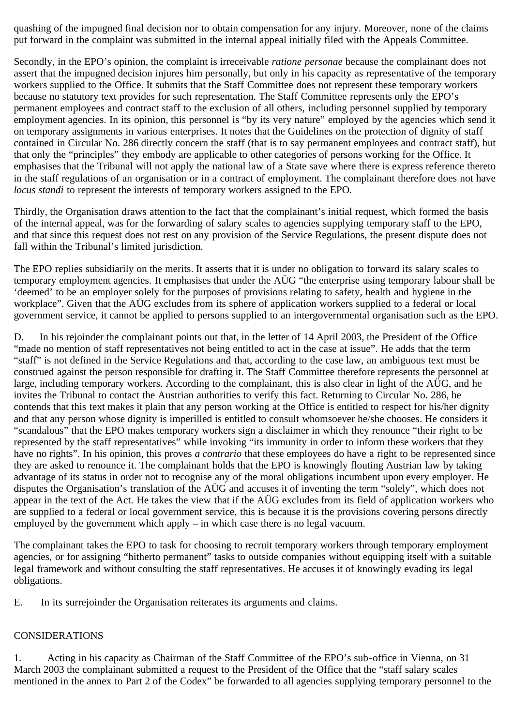quashing of the impugned final decision nor to obtain compensation for any injury. Moreover, none of the claims put forward in the complaint was submitted in the internal appeal initially filed with the Appeals Committee.

Secondly, in the EPO's opinion, the complaint is irreceivable *ratione personae* because the complainant does not assert that the impugned decision injures him personally, but only in his capacity as representative of the temporary workers supplied to the Office. It submits that the Staff Committee does not represent these temporary workers because no statutory text provides for such representation. The Staff Committee represents only the EPO's permanent employees and contract staff to the exclusion of all others, including personnel supplied by temporary employment agencies. In its opinion, this personnel is "by its very nature" employed by the agencies which send it on temporary assignments in various enterprises. It notes that the Guidelines on the protection of dignity of staff contained in Circular No. 286 directly concern the staff (that is to say permanent employees and contract staff), but that only the "principles" they embody are applicable to other categories of persons working for the Office. It emphasises that the Tribunal will not apply the national law of a State save where there is express reference thereto in the staff regulations of an organisation or in a contract of employment. The complainant therefore does not have *locus standi* to represent the interests of temporary workers assigned to the EPO.

Thirdly, the Organisation draws attention to the fact that the complainant's initial request, which formed the basis of the internal appeal, was for the forwarding of salary scales to agencies supplying temporary staff to the EPO, and that since this request does not rest on any provision of the Service Regulations, the present dispute does not fall within the Tribunal's limited jurisdiction.

The EPO replies subsidiarily on the merits. It asserts that it is under no obligation to forward its salary scales to temporary employment agencies. It emphasises that under the AÜG "the enterprise using temporary labour shall be 'deemed' to be an employer solely for the purposes of provisions relating to safety, health and hygiene in the workplace". Given that the AÜG excludes from its sphere of application workers supplied to a federal or local government service, it cannot be applied to persons supplied to an intergovernmental organisation such as the EPO.

D. In his rejoinder the complainant points out that, in the letter of 14 April 2003, the President of the Office "made no mention of staff representatives not being entitled to act in the case at issue". He adds that the term "staff" is not defined in the Service Regulations and that, according to the case law, an ambiguous text must be construed against the person responsible for drafting it. The Staff Committee therefore represents the personnel at large, including temporary workers. According to the complainant, this is also clear in light of the AÜG, and he invites the Tribunal to contact the Austrian authorities to verify this fact. Returning to Circular No. 286, he contends that this text makes it plain that any person working at the Office is entitled to respect for his/her dignity and that any person whose dignity is imperilled is entitled to consult whomsoever he/she chooses. He considers it "scandalous" that the EPO makes temporary workers sign a disclaimer in which they renounce "their right to be represented by the staff representatives" while invoking "its immunity in order to inform these workers that they have no rights". In his opinion, this proves *a contrario* that these employees do have a right to be represented since they are asked to renounce it. The complainant holds that the EPO is knowingly flouting Austrian law by taking advantage of its status in order not to recognise any of the moral obligations incumbent upon every employer. He disputes the Organisation's translation of the AÜG and accuses it of inventing the term "solely", which does not appear in the text of the Act. He takes the view that if the AÜG excludes from its field of application workers who are supplied to a federal or local government service, this is because it is the provisions covering persons directly employed by the government which apply – in which case there is no legal vacuum.

The complainant takes the EPO to task for choosing to recruit temporary workers through temporary employment agencies, or for assigning "hitherto permanent" tasks to outside companies without equipping itself with a suitable legal framework and without consulting the staff representatives. He accuses it of knowingly evading its legal obligations.

E. In its surrejoinder the Organisation reiterates its arguments and claims.

## CONSIDERATIONS

1. Acting in his capacity as Chairman of the Staff Committee of the EPO's sub-office in Vienna, on 31 March 2003 the complainant submitted a request to the President of the Office that the "staff salary scales mentioned in the annex to Part 2 of the Codex" be forwarded to all agencies supplying temporary personnel to the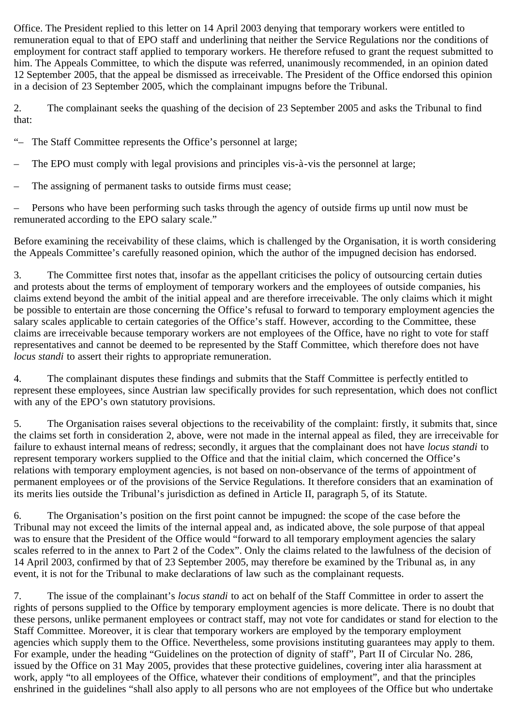Office. The President replied to this letter on 14 April 2003 denying that temporary workers were entitled to remuneration equal to that of EPO staff and underlining that neither the Service Regulations nor the conditions of employment for contract staff applied to temporary workers. He therefore refused to grant the request submitted to him. The Appeals Committee, to which the dispute was referred, unanimously recommended, in an opinion dated 12 September 2005, that the appeal be dismissed as irreceivable. The President of the Office endorsed this opinion in a decision of 23 September 2005, which the complainant impugns before the Tribunal.

2. The complainant seeks the quashing of the decision of 23 September 2005 and asks the Tribunal to find that:

"– The Staff Committee represents the Office's personnel at large;

– The EPO must comply with legal provisions and principles vis-à-vis the personnel at large;

The assigning of permanent tasks to outside firms must cease;

– Persons who have been performing such tasks through the agency of outside firms up until now must be remunerated according to the EPO salary scale."

Before examining the receivability of these claims, which is challenged by the Organisation, it is worth considering the Appeals Committee's carefully reasoned opinion, which the author of the impugned decision has endorsed.

3. The Committee first notes that, insofar as the appellant criticises the policy of outsourcing certain duties and protests about the terms of employment of temporary workers and the employees of outside companies, his claims extend beyond the ambit of the initial appeal and are therefore irreceivable. The only claims which it might be possible to entertain are those concerning the Office's refusal to forward to temporary employment agencies the salary scales applicable to certain categories of the Office's staff. However, according to the Committee, these claims are irreceivable because temporary workers are not employees of the Office, have no right to vote for staff representatives and cannot be deemed to be represented by the Staff Committee, which therefore does not have *locus standi* to assert their rights to appropriate remuneration.

4. The complainant disputes these findings and submits that the Staff Committee is perfectly entitled to represent these employees, since Austrian law specifically provides for such representation, which does not conflict with any of the EPO's own statutory provisions.

5. The Organisation raises several objections to the receivability of the complaint: firstly, it submits that, since the claims set forth in consideration 2, above, were not made in the internal appeal as filed, they are irreceivable for failure to exhaust internal means of redress; secondly, it argues that the complainant does not have *locus standi* to represent temporary workers supplied to the Office and that the initial claim, which concerned the Office's relations with temporary employment agencies, is not based on non-observance of the terms of appointment of permanent employees or of the provisions of the Service Regulations. It therefore considers that an examination of its merits lies outside the Tribunal's jurisdiction as defined in Article II, paragraph 5, of its Statute.

6. The Organisation's position on the first point cannot be impugned: the scope of the case before the Tribunal may not exceed the limits of the internal appeal and, as indicated above, the sole purpose of that appeal was to ensure that the President of the Office would "forward to all temporary employment agencies the salary scales referred to in the annex to Part 2 of the Codex". Only the claims related to the lawfulness of the decision of 14 April 2003, confirmed by that of 23 September 2005, may therefore be examined by the Tribunal as, in any event, it is not for the Tribunal to make declarations of law such as the complainant requests.

7. The issue of the complainant's *locus standi* to act on behalf of the Staff Committee in order to assert the rights of persons supplied to the Office by temporary employment agencies is more delicate. There is no doubt that these persons, unlike permanent employees or contract staff, may not vote for candidates or stand for election to the Staff Committee. Moreover, it is clear that temporary workers are employed by the temporary employment agencies which supply them to the Office. Nevertheless, some provisions instituting guarantees may apply to them. For example, under the heading "Guidelines on the protection of dignity of staff", Part II of Circular No. 286, issued by the Office on 31 May 2005, provides that these protective guidelines, covering inter alia harassment at work, apply "to all employees of the Office, whatever their conditions of employment", and that the principles enshrined in the guidelines "shall also apply to all persons who are not employees of the Office but who undertake